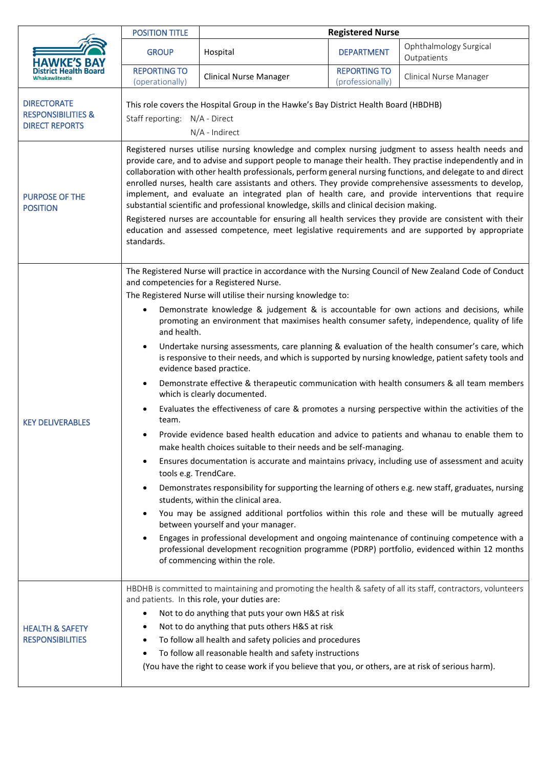|                                                                              | <b>POSITION TITLE</b>                                                                                                                                                                                                                                                                                                                                                                                                                                                                                                                                                                                                                                                                                                                                                                                                                                                                                                                                                                                                                                                                                                                                                                                                                                                                                                                                                                                                                                                                                                                                                                                                                                                                                                                                                                                                                                                                          | <b>Registered Nurse</b>                                                                                                                                                                                                                                                                                                                                                           |                                         |                                       |
|------------------------------------------------------------------------------|------------------------------------------------------------------------------------------------------------------------------------------------------------------------------------------------------------------------------------------------------------------------------------------------------------------------------------------------------------------------------------------------------------------------------------------------------------------------------------------------------------------------------------------------------------------------------------------------------------------------------------------------------------------------------------------------------------------------------------------------------------------------------------------------------------------------------------------------------------------------------------------------------------------------------------------------------------------------------------------------------------------------------------------------------------------------------------------------------------------------------------------------------------------------------------------------------------------------------------------------------------------------------------------------------------------------------------------------------------------------------------------------------------------------------------------------------------------------------------------------------------------------------------------------------------------------------------------------------------------------------------------------------------------------------------------------------------------------------------------------------------------------------------------------------------------------------------------------------------------------------------------------|-----------------------------------------------------------------------------------------------------------------------------------------------------------------------------------------------------------------------------------------------------------------------------------------------------------------------------------------------------------------------------------|-----------------------------------------|---------------------------------------|
|                                                                              | <b>GROUP</b>                                                                                                                                                                                                                                                                                                                                                                                                                                                                                                                                                                                                                                                                                                                                                                                                                                                                                                                                                                                                                                                                                                                                                                                                                                                                                                                                                                                                                                                                                                                                                                                                                                                                                                                                                                                                                                                                                   | Hospital                                                                                                                                                                                                                                                                                                                                                                          | <b>DEPARTMENT</b>                       | Ophthalmology Surgical<br>Outpatients |
| Whakawāteatia                                                                | <b>REPORTING TO</b><br>(operationally)                                                                                                                                                                                                                                                                                                                                                                                                                                                                                                                                                                                                                                                                                                                                                                                                                                                                                                                                                                                                                                                                                                                                                                                                                                                                                                                                                                                                                                                                                                                                                                                                                                                                                                                                                                                                                                                         | <b>Clinical Nurse Manager</b>                                                                                                                                                                                                                                                                                                                                                     | <b>REPORTING TO</b><br>(professionally) | Clinical Nurse Manager                |
| <b>DIRECTORATE</b><br><b>RESPONSIBILITIES &amp;</b><br><b>DIRECT REPORTS</b> | This role covers the Hospital Group in the Hawke's Bay District Health Board (HBDHB)<br>Staff reporting: N/A - Direct<br>N/A - Indirect                                                                                                                                                                                                                                                                                                                                                                                                                                                                                                                                                                                                                                                                                                                                                                                                                                                                                                                                                                                                                                                                                                                                                                                                                                                                                                                                                                                                                                                                                                                                                                                                                                                                                                                                                        |                                                                                                                                                                                                                                                                                                                                                                                   |                                         |                                       |
| <b>PURPOSE OF THE</b><br><b>POSITION</b>                                     | Registered nurses utilise nursing knowledge and complex nursing judgment to assess health needs and<br>provide care, and to advise and support people to manage their health. They practise independently and in<br>collaboration with other health professionals, perform general nursing functions, and delegate to and direct<br>enrolled nurses, health care assistants and others. They provide comprehensive assessments to develop,<br>implement, and evaluate an integrated plan of health care, and provide interventions that require<br>substantial scientific and professional knowledge, skills and clinical decision making.<br>Registered nurses are accountable for ensuring all health services they provide are consistent with their<br>education and assessed competence, meet legislative requirements and are supported by appropriate<br>standards.                                                                                                                                                                                                                                                                                                                                                                                                                                                                                                                                                                                                                                                                                                                                                                                                                                                                                                                                                                                                                     |                                                                                                                                                                                                                                                                                                                                                                                   |                                         |                                       |
| <b>KEY DELIVERABLES</b>                                                      | The Registered Nurse will practice in accordance with the Nursing Council of New Zealand Code of Conduct<br>and competencies for a Registered Nurse.<br>The Registered Nurse will utilise their nursing knowledge to:<br>Demonstrate knowledge & judgement & is accountable for own actions and decisions, while<br>$\bullet$<br>promoting an environment that maximises health consumer safety, independence, quality of life<br>and health.<br>Undertake nursing assessments, care planning & evaluation of the health consumer's care, which<br>$\bullet$<br>is responsive to their needs, and which is supported by nursing knowledge, patient safety tools and<br>evidence based practice.<br>Demonstrate effective & therapeutic communication with health consumers & all team members<br>which is clearly documented.<br>Evaluates the effectiveness of care & promotes a nursing perspective within the activities of the<br>team.<br>Provide evidence based health education and advice to patients and whanau to enable them to<br>make health choices suitable to their needs and be self-managing.<br>Ensures documentation is accurate and maintains privacy, including use of assessment and acuity<br>$\bullet$<br>tools e.g. TrendCare.<br>Demonstrates responsibility for supporting the learning of others e.g. new staff, graduates, nursing<br>students, within the clinical area.<br>You may be assigned additional portfolios within this role and these will be mutually agreed<br>between yourself and your manager.<br>Engages in professional development and ongoing maintenance of continuing competence with a<br>professional development recognition programme (PDRP) portfolio, evidenced within 12 months<br>of commencing within the role.<br>HBDHB is committed to maintaining and promoting the health & safety of all its staff, contractors, volunteers |                                                                                                                                                                                                                                                                                                                                                                                   |                                         |                                       |
| <b>HEALTH &amp; SAFETY</b><br><b>RESPONSIBILITIES</b>                        |                                                                                                                                                                                                                                                                                                                                                                                                                                                                                                                                                                                                                                                                                                                                                                                                                                                                                                                                                                                                                                                                                                                                                                                                                                                                                                                                                                                                                                                                                                                                                                                                                                                                                                                                                                                                                                                                                                | and patients. In this role, your duties are:<br>Not to do anything that puts your own H&S at risk<br>Not to do anything that puts others H&S at risk<br>To follow all health and safety policies and procedures<br>To follow all reasonable health and safety instructions<br>(You have the right to cease work if you believe that you, or others, are at risk of serious harm). |                                         |                                       |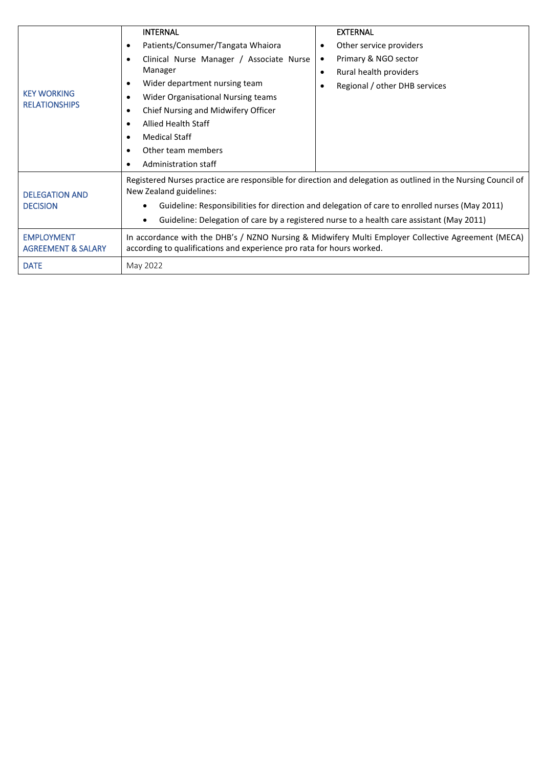| <b>KEY WORKING</b><br><b>RELATIONSHIPS</b>         | <b>INTERNAL</b><br>Patients/Consumer/Tangata Whaiora<br>$\bullet$<br>Clinical Nurse Manager / Associate Nurse<br>$\bullet$<br>Manager<br>Wider department nursing team<br>٠<br>Wider Organisational Nursing teams<br>٠<br>Chief Nursing and Midwifery Officer<br>$\bullet$<br><b>Allied Health Staff</b><br>$\bullet$<br><b>Medical Staff</b><br>$\bullet$<br>Other team members<br>Administration staff | <b>EXTERNAL</b><br>Other service providers<br>٠<br>Primary & NGO sector<br>٠<br>Rural health providers<br>$\bullet$<br>Regional / other DHB services |  |  |  |
|----------------------------------------------------|----------------------------------------------------------------------------------------------------------------------------------------------------------------------------------------------------------------------------------------------------------------------------------------------------------------------------------------------------------------------------------------------------------|------------------------------------------------------------------------------------------------------------------------------------------------------|--|--|--|
| <b>DELEGATION AND</b><br><b>DECISION</b>           | Registered Nurses practice are responsible for direction and delegation as outlined in the Nursing Council of<br>New Zealand guidelines:<br>Guideline: Responsibilities for direction and delegation of care to enrolled nurses (May 2011)<br>$\bullet$<br>Guideline: Delegation of care by a registered nurse to a health care assistant (May 2011)<br>$\bullet$                                        |                                                                                                                                                      |  |  |  |
| <b>EMPLOYMENT</b><br><b>AGREEMENT &amp; SALARY</b> | In accordance with the DHB's / NZNO Nursing & Midwifery Multi Employer Collective Agreement (MECA)<br>according to qualifications and experience pro rata for hours worked.                                                                                                                                                                                                                              |                                                                                                                                                      |  |  |  |
| <b>DATE</b>                                        | May 2022                                                                                                                                                                                                                                                                                                                                                                                                 |                                                                                                                                                      |  |  |  |